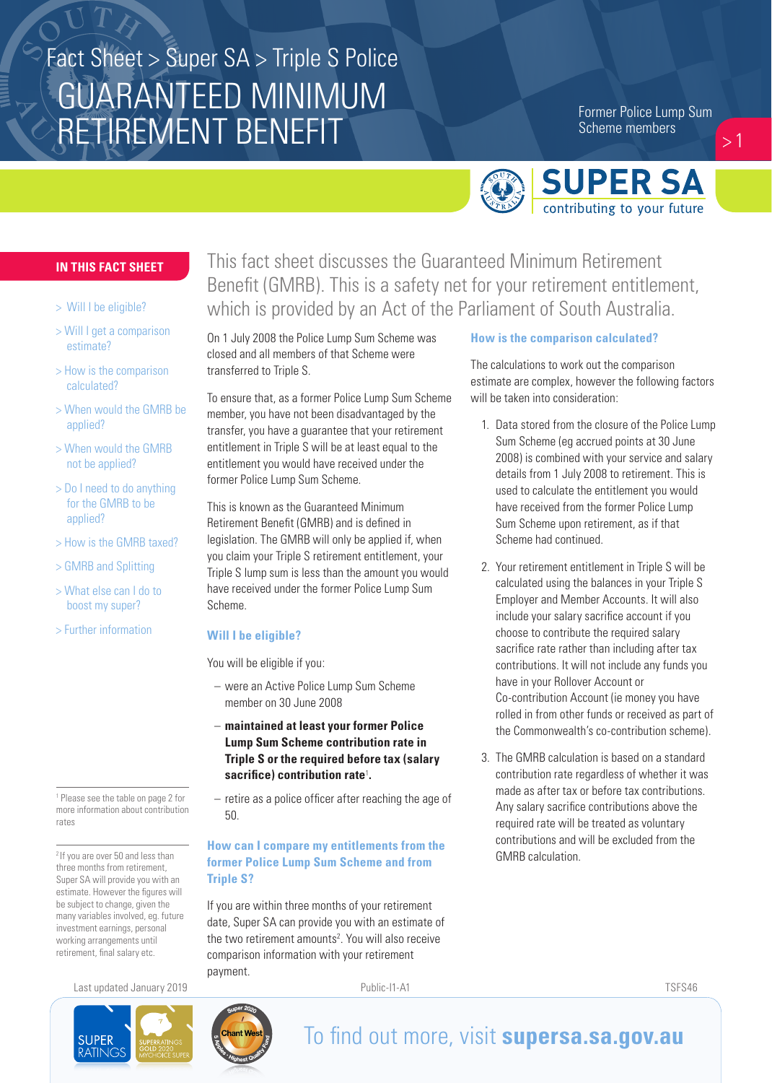# GUARANTEED MINIMUM RETIREMENT BENEFIT Fact Sheet > Super SA > Triple S Police

Former Police Lump Sum Scheme members

 $>1$ 



## **IN THIS FACT SHEET**

- > Will I be eligible?
- > Will I get a comparison estimate?
- > How is the comparison calculated?
- > When would the GMRB be applied?
- > When would the GMRB not be applied?
- > Do I need to do anything for the GMRB to be applied?
- > How is the GMRB taxed?
- > GMRB and Splitting
- > What else can I do to boost my super?
- > Further information

1 Please see the table on page 2 for more information about contribution rates

<sup>2</sup> If you are over 50 and less than three months from retirement, Super SA will provide you with an estimate. However the figures will be subject to change, given the many variables involved, eg. future investment earnings, personal working arrangements until retirement, final salary etc.

Last updated January 2019 **Public-I1-A1** Public-I1-A1 **Public-I1-A1** TSFS46





On 1 July 2008 the Police Lump Sum Scheme was closed and all members of that Scheme were transferred to Triple S.

To ensure that, as a former Police Lump Sum Scheme member, you have not been disadvantaged by the transfer, you have a guarantee that your retirement entitlement in Triple S will be at least equal to the entitlement you would have received under the former Police Lump Sum Scheme.

This is known as the Guaranteed Minimum Retirement Benefit (GMRB) and is defined in legislation. The GMRB will only be applied if, when you claim your Triple S retirement entitlement, your Triple S lump sum is less than the amount you would have received under the former Police Lump Sum Scheme.

#### **Will I be eligible?**

You will be eligible if you:

- were an Active Police Lump Sum Scheme member on 30 June 2008
- **maintained at least your former Police Lump Sum Scheme contribution rate in Triple S or the required before tax (salary sacrifice) contribution rate**<sup>1</sup> **.**
- retire as a police officer after reaching the age of 50.

## **How can I compare my entitlements from the former Police Lump Sum Scheme and from Triple S?**

If you are within three months of your retirement date, Super SA can provide you with an estimate of the two retirement amounts<sup>2</sup>. You will also receive comparison information with your retirement payment.

### **How is the comparison calculated?**

The calculations to work out the comparison estimate are complex, however the following factors will be taken into consideration:

- 1. Data stored from the closure of the Police Lump Sum Scheme (eg accrued points at 30 June 2008) is combined with your service and salary details from 1 July 2008 to retirement. This is used to calculate the entitlement you would have received from the former Police Lump Sum Scheme upon retirement, as if that Scheme had continued.
- 2. Your retirement entitlement in Triple S will be calculated using the balances in your Triple S Employer and Member Accounts. It will also include your salary sacrifice account if you choose to contribute the required salary sacrifice rate rather than including after tax contributions. It will not include any funds you have in your Rollover Account or Co-contribution Account (ie money you have rolled in from other funds or received as part of the Commonwealth's co-contribution scheme).
- 3. The GMRB calculation is based on a standard contribution rate regardless of whether it was made as after tax or before tax contributions. Any salary sacrifice contributions above the required rate will be treated as voluntary contributions and will be excluded from the GMRB calculation.





# To find out more, visit **supersa.sa.gov.au**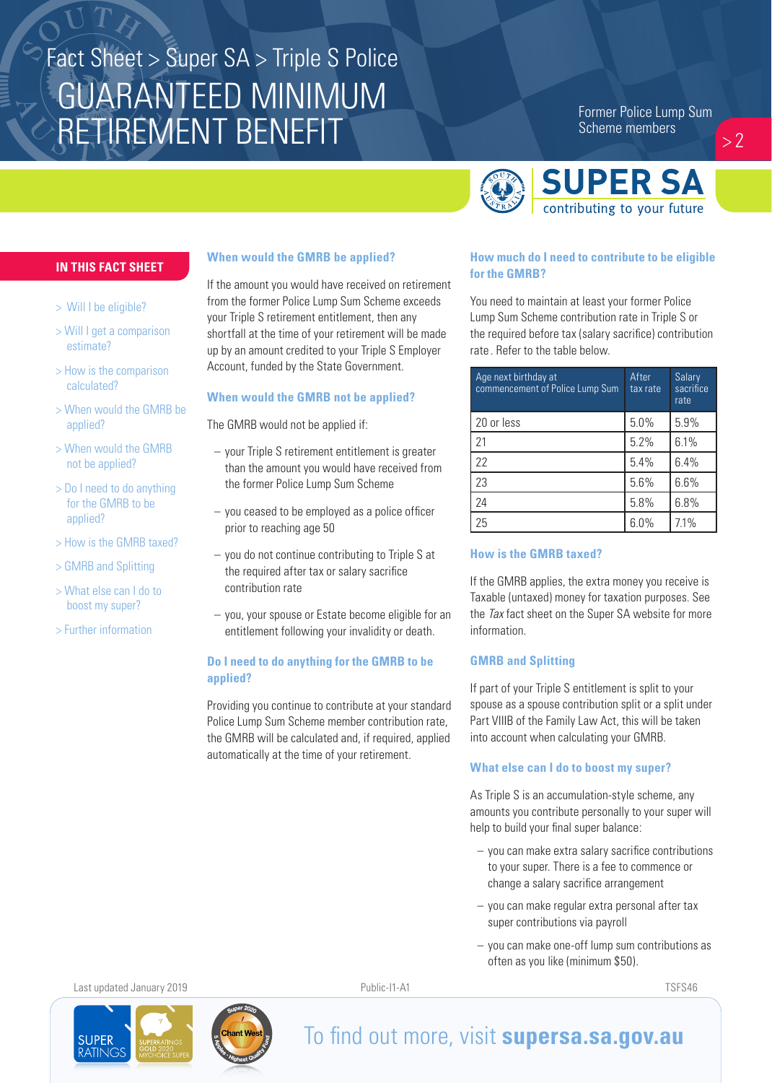# GUARANTEED MINIMUM RETIREMENT BENEFIT Fact Sheet > Super SA > Triple S Police

Former Police Lump Sum Scheme members

 $> 2$ 



#### **IN THIS FACT SHEET**

- > Will I be eligible?
- > Will I get a comparison estimate?
- > How is the comparison calculated?
- > When would the GMRB be applied?
- > When would the GMRB not be applied?
- > Do I need to do anything for the GMRB to be applied?
- > How is the GMRB taxed?
- > GMRB and Splitting
- > What else can I do to boost my super?
- > Further information

#### **When would the GMRB be applied?**

If the amount you would have received on retirement from the former Police Lump Sum Scheme exceeds your Triple S retirement entitlement, then any shortfall at the time of your retirement will be made up by an amount credited to your Triple S Employer Account, funded by the State Government.

#### **When would the GMRB not be applied?**

The GMRB would not be applied if:

- your Triple S retirement entitlement is greater than the amount you would have received from the former Police Lump Sum Scheme
- you ceased to be employed as a police officer prior to reaching age 50
- you do not continue contributing to Triple S at the required after tax or salary sacrifice contribution rate
- you, your spouse or Estate become eligible for an entitlement following your invalidity or death.

### **Do I need to do anything for the GMRB to be applied?**

Providing you continue to contribute at your standard Police Lump Sum Scheme member contribution rate, the GMRB will be calculated and, if required, applied automatically at the time of your retirement.

#### **How much do I need to contribute to be eligible for the GMRB?**

You need to maintain at least your former Police Lump Sum Scheme contribution rate in Triple S or the required before tax (salary sacrifice) contribution rate . Refer to the table below.

| Age next birthday at<br>commencement of Police Lump Sum | After<br>tax rate | Salary<br>sacrifice<br>rate |
|---------------------------------------------------------|-------------------|-----------------------------|
| 20 or less                                              | 5.0%              | 5.9%                        |
| 21                                                      | 5.2%              | 6.1%                        |
| 22                                                      | 5.4%              | 6.4%                        |
| 23                                                      | 5.6%              | 6.6%                        |
| 24                                                      | 5.8%              | 6.8%                        |
| 25                                                      | 6.0%              | 7.1%                        |

#### **How is the GMRB taxed?**

If the GMRB applies, the extra money you receive is Taxable (untaxed) money for taxation purposes. See the *Tax* fact sheet on the Super SA website for more information.

#### **GMRB and Splitting**

If part of your Triple S entitlement is split to your spouse as a spouse contribution split or a split under Part VIIIB of the Family Law Act, this will be taken into account when calculating your GMRB.

#### **What else can I do to boost my super?**

As Triple S is an accumulation-style scheme, any amounts you contribute personally to your super will help to build your final super balance:

- you can make extra salary sacrifice contributions to your super. There is a fee to commence or change a salary sacrifice arrangement
- you can make regular extra personal after tax super contributions via payroll
- you can make one-off lump sum contributions as often as you like (minimum \$50).

Last updated January 2019 **Public-I1-A1** Public-I1-A1 **Public-I1-A1** TSFS46



# To find out more, visit **supersa.sa.gov.au**